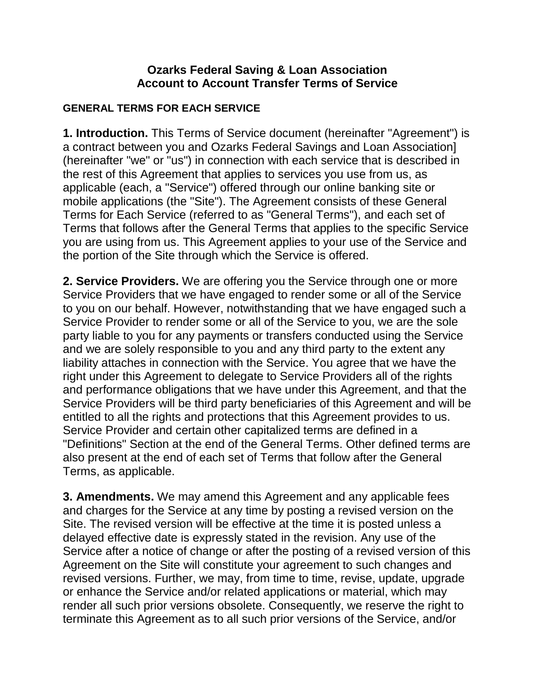### **Ozarks Federal Saving & Loan Association Account to Account Transfer Terms of Service**

### **GENERAL TERMS FOR EACH SERVICE**

**1. Introduction.** This Terms of Service document (hereinafter "Agreement") is a contract between you and Ozarks Federal Savings and Loan Association] (hereinafter "we" or "us") in connection with each service that is described in the rest of this Agreement that applies to services you use from us, as applicable (each, a "Service") offered through our online banking site or mobile applications (the "Site"). The Agreement consists of these General Terms for Each Service (referred to as "General Terms"), and each set of Terms that follows after the General Terms that applies to the specific Service you are using from us. This Agreement applies to your use of the Service and the portion of the Site through which the Service is offered.

**2. Service Providers.** We are offering you the Service through one or more Service Providers that we have engaged to render some or all of the Service to you on our behalf. However, notwithstanding that we have engaged such a Service Provider to render some or all of the Service to you, we are the sole party liable to you for any payments or transfers conducted using the Service and we are solely responsible to you and any third party to the extent any liability attaches in connection with the Service. You agree that we have the right under this Agreement to delegate to Service Providers all of the rights and performance obligations that we have under this Agreement, and that the Service Providers will be third party beneficiaries of this Agreement and will be entitled to all the rights and protections that this Agreement provides to us. Service Provider and certain other capitalized terms are defined in a "Definitions" Section at the end of the General Terms. Other defined terms are also present at the end of each set of Terms that follow after the General Terms, as applicable.

**3. Amendments.** We may amend this Agreement and any applicable fees and charges for the Service at any time by posting a revised version on the Site. The revised version will be effective at the time it is posted unless a delayed effective date is expressly stated in the revision. Any use of the Service after a notice of change or after the posting of a revised version of this Agreement on the Site will constitute your agreement to such changes and revised versions. Further, we may, from time to time, revise, update, upgrade or enhance the Service and/or related applications or material, which may render all such prior versions obsolete. Consequently, we reserve the right to terminate this Agreement as to all such prior versions of the Service, and/or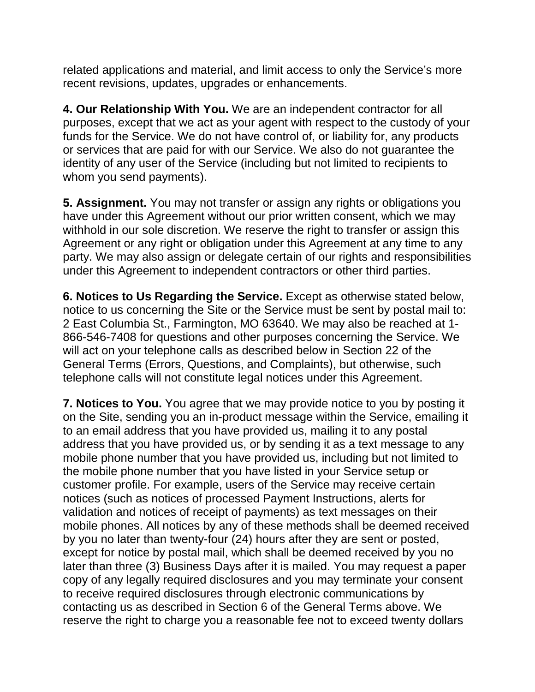related applications and material, and limit access to only the Service's more recent revisions, updates, upgrades or enhancements.

**4. Our Relationship With You.** We are an independent contractor for all purposes, except that we act as your agent with respect to the custody of your funds for the Service. We do not have control of, or liability for, any products or services that are paid for with our Service. We also do not guarantee the identity of any user of the Service (including but not limited to recipients to whom you send payments).

**5. Assignment.** You may not transfer or assign any rights or obligations you have under this Agreement without our prior written consent, which we may withhold in our sole discretion. We reserve the right to transfer or assign this Agreement or any right or obligation under this Agreement at any time to any party. We may also assign or delegate certain of our rights and responsibilities under this Agreement to independent contractors or other third parties.

**6. Notices to Us Regarding the Service.** Except as otherwise stated below, notice to us concerning the Site or the Service must be sent by postal mail to: 2 East Columbia St., Farmington, MO 63640. We may also be reached at 1- 866-546-7408 for questions and other purposes concerning the Service. We will act on your telephone calls as described below in Section 22 of the General Terms (Errors, Questions, and Complaints), but otherwise, such telephone calls will not constitute legal notices under this Agreement.

**7. Notices to You.** You agree that we may provide notice to you by posting it on the Site, sending you an in-product message within the Service, emailing it to an email address that you have provided us, mailing it to any postal address that you have provided us, or by sending it as a text message to any mobile phone number that you have provided us, including but not limited to the mobile phone number that you have listed in your Service setup or customer profile. For example, users of the Service may receive certain notices (such as notices of processed Payment Instructions, alerts for validation and notices of receipt of payments) as text messages on their mobile phones. All notices by any of these methods shall be deemed received by you no later than twenty-four (24) hours after they are sent or posted, except for notice by postal mail, which shall be deemed received by you no later than three (3) Business Days after it is mailed. You may request a paper copy of any legally required disclosures and you may terminate your consent to receive required disclosures through electronic communications by contacting us as described in Section 6 of the General Terms above. We reserve the right to charge you a reasonable fee not to exceed twenty dollars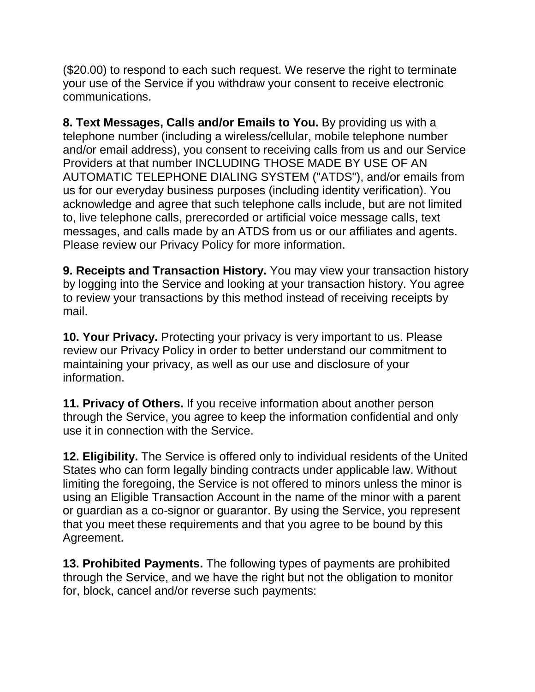(\$20.00) to respond to each such request. We reserve the right to terminate your use of the Service if you withdraw your consent to receive electronic communications.

**8. Text Messages, Calls and/or Emails to You.** By providing us with a telephone number (including a wireless/cellular, mobile telephone number and/or email address), you consent to receiving calls from us and our Service Providers at that number INCLUDING THOSE MADE BY USE OF AN AUTOMATIC TELEPHONE DIALING SYSTEM ("ATDS"), and/or emails from us for our everyday business purposes (including identity verification). You acknowledge and agree that such telephone calls include, but are not limited to, live telephone calls, prerecorded or artificial voice message calls, text messages, and calls made by an ATDS from us or our affiliates and agents. Please review our Privacy Policy for more information.

**9. Receipts and Transaction History.** You may view your transaction history by logging into the Service and looking at your transaction history. You agree to review your transactions by this method instead of receiving receipts by mail.

**10. Your Privacy.** Protecting your privacy is very important to us. Please review our Privacy Policy in order to better understand our commitment to maintaining your privacy, as well as our use and disclosure of your information.

**11. Privacy of Others.** If you receive information about another person through the Service, you agree to keep the information confidential and only use it in connection with the Service.

**12. Eligibility.** The Service is offered only to individual residents of the United States who can form legally binding contracts under applicable law. Without limiting the foregoing, the Service is not offered to minors unless the minor is using an Eligible Transaction Account in the name of the minor with a parent or guardian as a co-signor or guarantor. By using the Service, you represent that you meet these requirements and that you agree to be bound by this Agreement.

**13. Prohibited Payments.** The following types of payments are prohibited through the Service, and we have the right but not the obligation to monitor for, block, cancel and/or reverse such payments: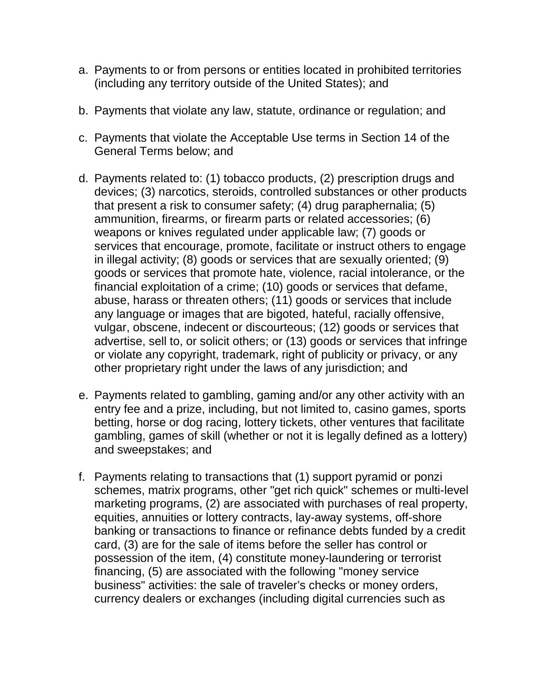- a. Payments to or from persons or entities located in prohibited territories (including any territory outside of the United States); and
- b. Payments that violate any law, statute, ordinance or regulation; and
- c. Payments that violate the Acceptable Use terms in Section 14 of the General Terms below; and
- d. Payments related to: (1) tobacco products, (2) prescription drugs and devices; (3) narcotics, steroids, controlled substances or other products that present a risk to consumer safety; (4) drug paraphernalia; (5) ammunition, firearms, or firearm parts or related accessories; (6) weapons or knives regulated under applicable law; (7) goods or services that encourage, promote, facilitate or instruct others to engage in illegal activity; (8) goods or services that are sexually oriented; (9) goods or services that promote hate, violence, racial intolerance, or the financial exploitation of a crime; (10) goods or services that defame, abuse, harass or threaten others; (11) goods or services that include any language or images that are bigoted, hateful, racially offensive, vulgar, obscene, indecent or discourteous; (12) goods or services that advertise, sell to, or solicit others; or (13) goods or services that infringe or violate any copyright, trademark, right of publicity or privacy, or any other proprietary right under the laws of any jurisdiction; and
- e. Payments related to gambling, gaming and/or any other activity with an entry fee and a prize, including, but not limited to, casino games, sports betting, horse or dog racing, lottery tickets, other ventures that facilitate gambling, games of skill (whether or not it is legally defined as a lottery) and sweepstakes; and
- f. Payments relating to transactions that (1) support pyramid or ponzi schemes, matrix programs, other "get rich quick" schemes or multi-level marketing programs, (2) are associated with purchases of real property, equities, annuities or lottery contracts, lay-away systems, off-shore banking or transactions to finance or refinance debts funded by a credit card, (3) are for the sale of items before the seller has control or possession of the item, (4) constitute money-laundering or terrorist financing, (5) are associated with the following "money service business" activities: the sale of traveler's checks or money orders, currency dealers or exchanges (including digital currencies such as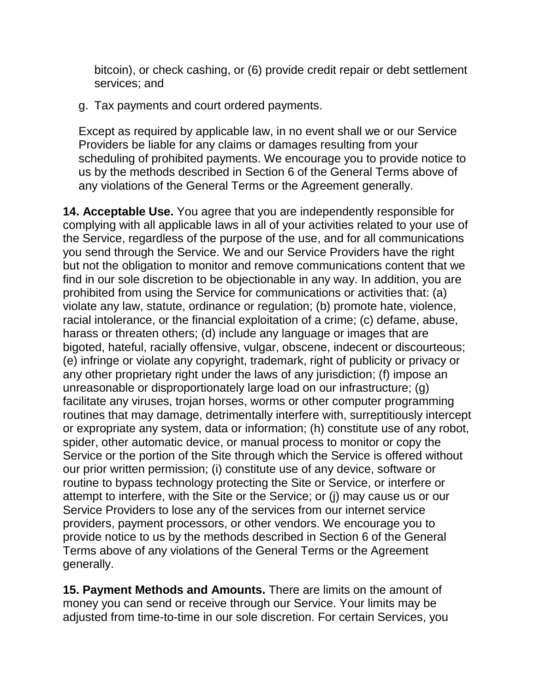bitcoin), or check cashing, or (6) provide credit repair or debt settlement services; and

g. Tax payments and court ordered payments.

Except as required by applicable law, in no event shall we or our Service Providers be liable for any claims or damages resulting from your scheduling of prohibited payments. We encourage you to provide notice to us by the methods described in Section 6 of the General Terms above of any violations of the General Terms or the Agreement generally.

**14. Acceptable Use.** You agree that you are independently responsible for complying with all applicable laws in all of your activities related to your use of the Service, regardless of the purpose of the use, and for all communications you send through the Service. We and our Service Providers have the right but not the obligation to monitor and remove communications content that we find in our sole discretion to be objectionable in any way. In addition, you are prohibited from using the Service for communications or activities that: (a) violate any law, statute, ordinance or regulation; (b) promote hate, violence, racial intolerance, or the financial exploitation of a crime; (c) defame, abuse, harass or threaten others; (d) include any language or images that are bigoted, hateful, racially offensive, vulgar, obscene, indecent or discourteous; (e) infringe or violate any copyright, trademark, right of publicity or privacy or any other proprietary right under the laws of any jurisdiction; (f) impose an unreasonable or disproportionately large load on our infrastructure; (g) facilitate any viruses, trojan horses, worms or other computer programming routines that may damage, detrimentally interfere with, surreptitiously intercept or expropriate any system, data or information; (h) constitute use of any robot, spider, other automatic device, or manual process to monitor or copy the Service or the portion of the Site through which the Service is offered without our prior written permission; (i) constitute use of any device, software or routine to bypass technology protecting the Site or Service, or interfere or attempt to interfere, with the Site or the Service; or (j) may cause us or our Service Providers to lose any of the services from our internet service providers, payment processors, or other vendors. We encourage you to provide notice to us by the methods described in Section 6 of the General Terms above of any violations of the General Terms or the Agreement generally.

**15. Payment Methods and Amounts.** There are limits on the amount of money you can send or receive through our Service. Your limits may be adjusted from time-to-time in our sole discretion. For certain Services, you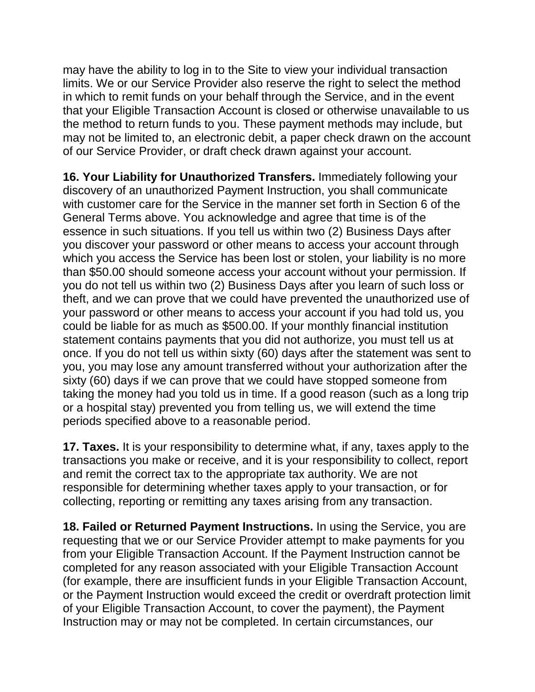may have the ability to log in to the Site to view your individual transaction limits. We or our Service Provider also reserve the right to select the method in which to remit funds on your behalf through the Service, and in the event that your Eligible Transaction Account is closed or otherwise unavailable to us the method to return funds to you. These payment methods may include, but may not be limited to, an electronic debit, a paper check drawn on the account of our Service Provider, or draft check drawn against your account.

**16. Your Liability for Unauthorized Transfers.** Immediately following your discovery of an unauthorized Payment Instruction, you shall communicate with customer care for the Service in the manner set forth in Section 6 of the General Terms above. You acknowledge and agree that time is of the essence in such situations. If you tell us within two (2) Business Days after you discover your password or other means to access your account through which you access the Service has been lost or stolen, your liability is no more than \$50.00 should someone access your account without your permission. If you do not tell us within two (2) Business Days after you learn of such loss or theft, and we can prove that we could have prevented the unauthorized use of your password or other means to access your account if you had told us, you could be liable for as much as \$500.00. If your monthly financial institution statement contains payments that you did not authorize, you must tell us at once. If you do not tell us within sixty (60) days after the statement was sent to you, you may lose any amount transferred without your authorization after the sixty (60) days if we can prove that we could have stopped someone from taking the money had you told us in time. If a good reason (such as a long trip or a hospital stay) prevented you from telling us, we will extend the time periods specified above to a reasonable period.

**17. Taxes.** It is your responsibility to determine what, if any, taxes apply to the transactions you make or receive, and it is your responsibility to collect, report and remit the correct tax to the appropriate tax authority. We are not responsible for determining whether taxes apply to your transaction, or for collecting, reporting or remitting any taxes arising from any transaction.

**18. Failed or Returned Payment Instructions.** In using the Service, you are requesting that we or our Service Provider attempt to make payments for you from your Eligible Transaction Account. If the Payment Instruction cannot be completed for any reason associated with your Eligible Transaction Account (for example, there are insufficient funds in your Eligible Transaction Account, or the Payment Instruction would exceed the credit or overdraft protection limit of your Eligible Transaction Account, to cover the payment), the Payment Instruction may or may not be completed. In certain circumstances, our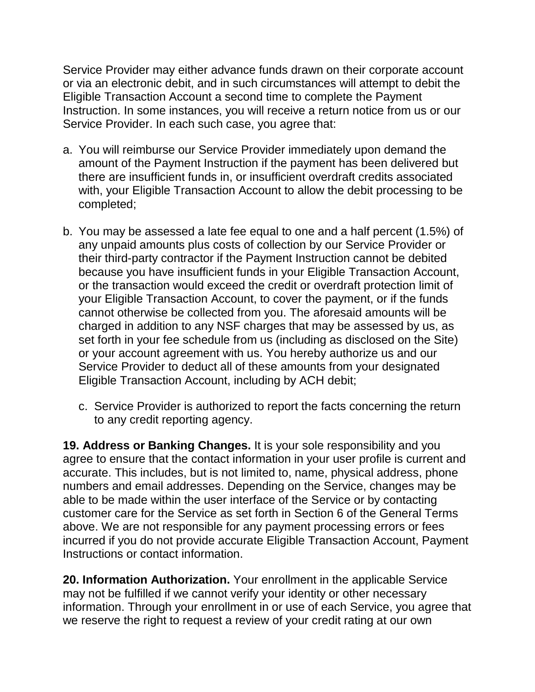Service Provider may either advance funds drawn on their corporate account or via an electronic debit, and in such circumstances will attempt to debit the Eligible Transaction Account a second time to complete the Payment Instruction. In some instances, you will receive a return notice from us or our Service Provider. In each such case, you agree that:

- a. You will reimburse our Service Provider immediately upon demand the amount of the Payment Instruction if the payment has been delivered but there are insufficient funds in, or insufficient overdraft credits associated with, your Eligible Transaction Account to allow the debit processing to be completed;
- b. You may be assessed a late fee equal to one and a half percent (1.5%) of any unpaid amounts plus costs of collection by our Service Provider or their third-party contractor if the Payment Instruction cannot be debited because you have insufficient funds in your Eligible Transaction Account, or the transaction would exceed the credit or overdraft protection limit of your Eligible Transaction Account, to cover the payment, or if the funds cannot otherwise be collected from you. The aforesaid amounts will be charged in addition to any NSF charges that may be assessed by us, as set forth in your fee schedule from us (including as disclosed on the Site) or your account agreement with us. You hereby authorize us and our Service Provider to deduct all of these amounts from your designated Eligible Transaction Account, including by ACH debit;
	- c. Service Provider is authorized to report the facts concerning the return to any credit reporting agency.

**19. Address or Banking Changes.** It is your sole responsibility and you agree to ensure that the contact information in your user profile is current and accurate. This includes, but is not limited to, name, physical address, phone numbers and email addresses. Depending on the Service, changes may be able to be made within the user interface of the Service or by contacting customer care for the Service as set forth in Section 6 of the General Terms above. We are not responsible for any payment processing errors or fees incurred if you do not provide accurate Eligible Transaction Account, Payment Instructions or contact information.

**20. Information Authorization.** Your enrollment in the applicable Service may not be fulfilled if we cannot verify your identity or other necessary information. Through your enrollment in or use of each Service, you agree that we reserve the right to request a review of your credit rating at our own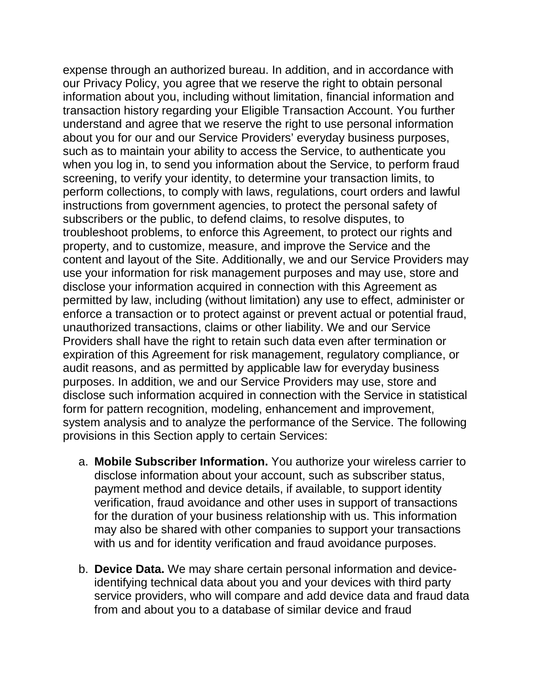expense through an authorized bureau. In addition, and in accordance with our Privacy Policy, you agree that we reserve the right to obtain personal information about you, including without limitation, financial information and transaction history regarding your Eligible Transaction Account. You further understand and agree that we reserve the right to use personal information about you for our and our Service Providers' everyday business purposes, such as to maintain your ability to access the Service, to authenticate you when you log in, to send you information about the Service, to perform fraud screening, to verify your identity, to determine your transaction limits, to perform collections, to comply with laws, regulations, court orders and lawful instructions from government agencies, to protect the personal safety of subscribers or the public, to defend claims, to resolve disputes, to troubleshoot problems, to enforce this Agreement, to protect our rights and property, and to customize, measure, and improve the Service and the content and layout of the Site. Additionally, we and our Service Providers may use your information for risk management purposes and may use, store and disclose your information acquired in connection with this Agreement as permitted by law, including (without limitation) any use to effect, administer or enforce a transaction or to protect against or prevent actual or potential fraud, unauthorized transactions, claims or other liability. We and our Service Providers shall have the right to retain such data even after termination or expiration of this Agreement for risk management, regulatory compliance, or audit reasons, and as permitted by applicable law for everyday business purposes. In addition, we and our Service Providers may use, store and disclose such information acquired in connection with the Service in statistical form for pattern recognition, modeling, enhancement and improvement, system analysis and to analyze the performance of the Service. The following provisions in this Section apply to certain Services:

- a. **Mobile Subscriber Information.** You authorize your wireless carrier to disclose information about your account, such as subscriber status, payment method and device details, if available, to support identity verification, fraud avoidance and other uses in support of transactions for the duration of your business relationship with us. This information may also be shared with other companies to support your transactions with us and for identity verification and fraud avoidance purposes.
- b. **Device Data.** We may share certain personal information and deviceidentifying technical data about you and your devices with third party service providers, who will compare and add device data and fraud data from and about you to a database of similar device and fraud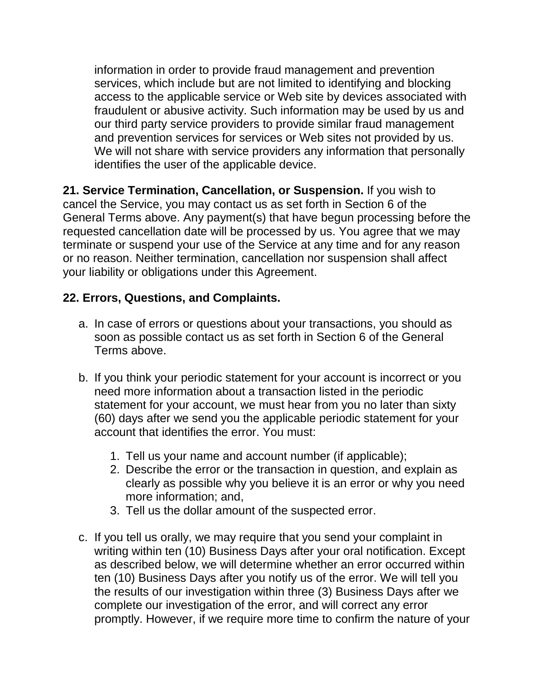information in order to provide fraud management and prevention services, which include but are not limited to identifying and blocking access to the applicable service or Web site by devices associated with fraudulent or abusive activity. Such information may be used by us and our third party service providers to provide similar fraud management and prevention services for services or Web sites not provided by us. We will not share with service providers any information that personally identifies the user of the applicable device.

**21. Service Termination, Cancellation, or Suspension.** If you wish to cancel the Service, you may contact us as set forth in Section 6 of the General Terms above. Any payment(s) that have begun processing before the requested cancellation date will be processed by us. You agree that we may terminate or suspend your use of the Service at any time and for any reason or no reason. Neither termination, cancellation nor suspension shall affect your liability or obligations under this Agreement.

## **22. Errors, Questions, and Complaints.**

- a. In case of errors or questions about your transactions, you should as soon as possible contact us as set forth in Section 6 of the General Terms above.
- b. If you think your periodic statement for your account is incorrect or you need more information about a transaction listed in the periodic statement for your account, we must hear from you no later than sixty (60) days after we send you the applicable periodic statement for your account that identifies the error. You must:
	- 1. Tell us your name and account number (if applicable);
	- 2. Describe the error or the transaction in question, and explain as clearly as possible why you believe it is an error or why you need more information; and,
	- 3. Tell us the dollar amount of the suspected error.
- c. If you tell us orally, we may require that you send your complaint in writing within ten (10) Business Days after your oral notification. Except as described below, we will determine whether an error occurred within ten (10) Business Days after you notify us of the error. We will tell you the results of our investigation within three (3) Business Days after we complete our investigation of the error, and will correct any error promptly. However, if we require more time to confirm the nature of your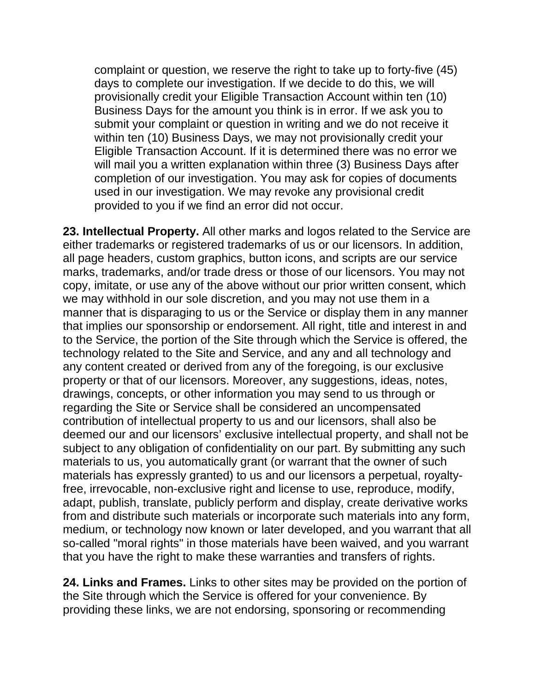complaint or question, we reserve the right to take up to forty-five (45) days to complete our investigation. If we decide to do this, we will provisionally credit your Eligible Transaction Account within ten (10) Business Days for the amount you think is in error. If we ask you to submit your complaint or question in writing and we do not receive it within ten (10) Business Days, we may not provisionally credit your Eligible Transaction Account. If it is determined there was no error we will mail you a written explanation within three (3) Business Days after completion of our investigation. You may ask for copies of documents used in our investigation. We may revoke any provisional credit provided to you if we find an error did not occur.

**23. Intellectual Property.** All other marks and logos related to the Service are either trademarks or registered trademarks of us or our licensors. In addition, all page headers, custom graphics, button icons, and scripts are our service marks, trademarks, and/or trade dress or those of our licensors. You may not copy, imitate, or use any of the above without our prior written consent, which we may withhold in our sole discretion, and you may not use them in a manner that is disparaging to us or the Service or display them in any manner that implies our sponsorship or endorsement. All right, title and interest in and to the Service, the portion of the Site through which the Service is offered, the technology related to the Site and Service, and any and all technology and any content created or derived from any of the foregoing, is our exclusive property or that of our licensors. Moreover, any suggestions, ideas, notes, drawings, concepts, or other information you may send to us through or regarding the Site or Service shall be considered an uncompensated contribution of intellectual property to us and our licensors, shall also be deemed our and our licensors' exclusive intellectual property, and shall not be subject to any obligation of confidentiality on our part. By submitting any such materials to us, you automatically grant (or warrant that the owner of such materials has expressly granted) to us and our licensors a perpetual, royaltyfree, irrevocable, non-exclusive right and license to use, reproduce, modify, adapt, publish, translate, publicly perform and display, create derivative works from and distribute such materials or incorporate such materials into any form, medium, or technology now known or later developed, and you warrant that all so-called "moral rights" in those materials have been waived, and you warrant that you have the right to make these warranties and transfers of rights.

**24. Links and Frames.** Links to other sites may be provided on the portion of the Site through which the Service is offered for your convenience. By providing these links, we are not endorsing, sponsoring or recommending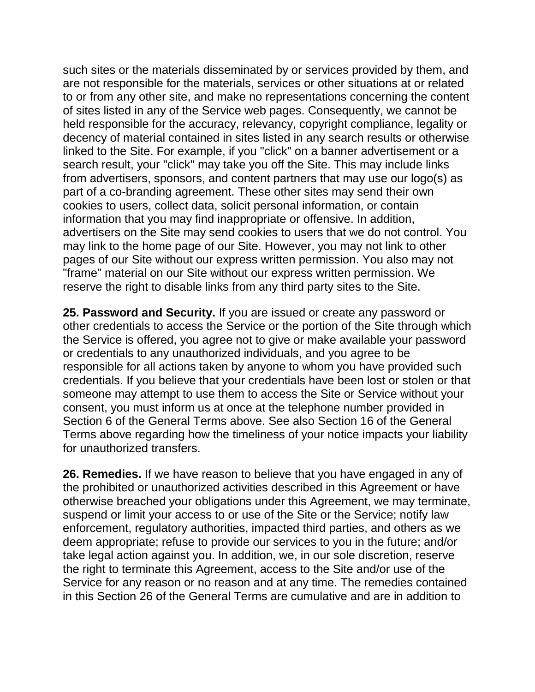such sites or the materials disseminated by or services provided by them, and are not responsible for the materials, services or other situations at or related to or from any other site, and make no representations concerning the content of sites listed in any of the Service web pages. Consequently, we cannot be held responsible for the accuracy, relevancy, copyright compliance, legality or decency of material contained in sites listed in any search results or otherwise linked to the Site. For example, if you "click" on a banner advertisement or a search result, your "click" may take you off the Site. This may include links from advertisers, sponsors, and content partners that may use our logo(s) as part of a co-branding agreement. These other sites may send their own cookies to users, collect data, solicit personal information, or contain information that you may find inappropriate or offensive. In addition, advertisers on the Site may send cookies to users that we do not control. You may link to the home page of our Site. However, you may not link to other pages of our Site without our express written permission. You also may not "frame" material on our Site without our express written permission. We reserve the right to disable links from any third party sites to the Site.

**25. Password and Security.** If you are issued or create any password or other credentials to access the Service or the portion of the Site through which the Service is offered, you agree not to give or make available your password or credentials to any unauthorized individuals, and you agree to be responsible for all actions taken by anyone to whom you have provided such credentials. If you believe that your credentials have been lost or stolen or that someone may attempt to use them to access the Site or Service without your consent, you must inform us at once at the telephone number provided in Section 6 of the General Terms above. See also Section 16 of the General Terms above regarding how the timeliness of your notice impacts your liability for unauthorized transfers.

**26. Remedies.** If we have reason to believe that you have engaged in any of the prohibited or unauthorized activities described in this Agreement or have otherwise breached your obligations under this Agreement, we may terminate, suspend or limit your access to or use of the Site or the Service; notify law enforcement, regulatory authorities, impacted third parties, and others as we deem appropriate; refuse to provide our services to you in the future; and/or take legal action against you. In addition, we, in our sole discretion, reserve the right to terminate this Agreement, access to the Site and/or use of the Service for any reason or no reason and at any time. The remedies contained in this Section 26 of the General Terms are cumulative and are in addition to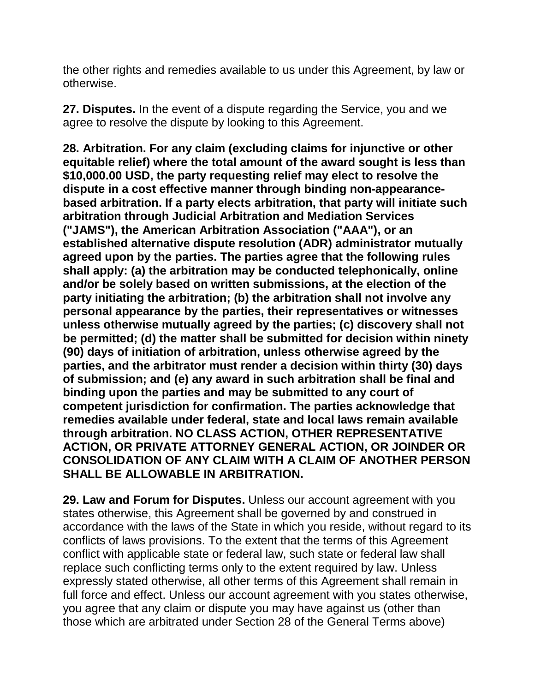the other rights and remedies available to us under this Agreement, by law or otherwise.

**27. Disputes.** In the event of a dispute regarding the Service, you and we agree to resolve the dispute by looking to this Agreement.

**28. Arbitration. For any claim (excluding claims for injunctive or other equitable relief) where the total amount of the award sought is less than \$10,000.00 USD, the party requesting relief may elect to resolve the dispute in a cost effective manner through binding non-appearancebased arbitration. If a party elects arbitration, that party will initiate such arbitration through Judicial Arbitration and Mediation Services ("JAMS"), the American Arbitration Association ("AAA"), or an established alternative dispute resolution (ADR) administrator mutually agreed upon by the parties. The parties agree that the following rules shall apply: (a) the arbitration may be conducted telephonically, online and/or be solely based on written submissions, at the election of the party initiating the arbitration; (b) the arbitration shall not involve any personal appearance by the parties, their representatives or witnesses unless otherwise mutually agreed by the parties; (c) discovery shall not be permitted; (d) the matter shall be submitted for decision within ninety (90) days of initiation of arbitration, unless otherwise agreed by the parties, and the arbitrator must render a decision within thirty (30) days of submission; and (e) any award in such arbitration shall be final and binding upon the parties and may be submitted to any court of competent jurisdiction for confirmation. The parties acknowledge that remedies available under federal, state and local laws remain available through arbitration. NO CLASS ACTION, OTHER REPRESENTATIVE ACTION, OR PRIVATE ATTORNEY GENERAL ACTION, OR JOINDER OR CONSOLIDATION OF ANY CLAIM WITH A CLAIM OF ANOTHER PERSON SHALL BE ALLOWABLE IN ARBITRATION.**

**29. Law and Forum for Disputes.** Unless our account agreement with you states otherwise, this Agreement shall be governed by and construed in accordance with the laws of the State in which you reside, without regard to its conflicts of laws provisions. To the extent that the terms of this Agreement conflict with applicable state or federal law, such state or federal law shall replace such conflicting terms only to the extent required by law. Unless expressly stated otherwise, all other terms of this Agreement shall remain in full force and effect. Unless our account agreement with you states otherwise, you agree that any claim or dispute you may have against us (other than those which are arbitrated under Section 28 of the General Terms above)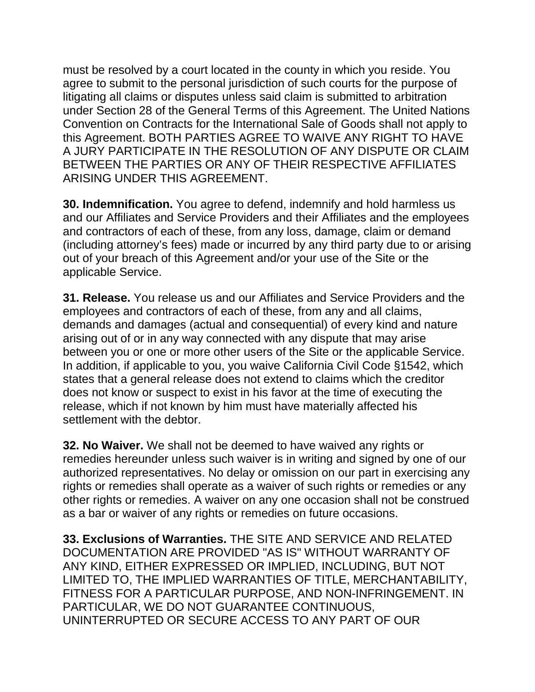must be resolved by a court located in the county in which you reside. You agree to submit to the personal jurisdiction of such courts for the purpose of litigating all claims or disputes unless said claim is submitted to arbitration under Section 28 of the General Terms of this Agreement. The United Nations Convention on Contracts for the International Sale of Goods shall not apply to this Agreement. BOTH PARTIES AGREE TO WAIVE ANY RIGHT TO HAVE A JURY PARTICIPATE IN THE RESOLUTION OF ANY DISPUTE OR CLAIM BETWEEN THE PARTIES OR ANY OF THEIR RESPECTIVE AFFILIATES ARISING UNDER THIS AGREEMENT.

**30. Indemnification.** You agree to defend, indemnify and hold harmless us and our Affiliates and Service Providers and their Affiliates and the employees and contractors of each of these, from any loss, damage, claim or demand (including attorney's fees) made or incurred by any third party due to or arising out of your breach of this Agreement and/or your use of the Site or the applicable Service.

**31. Release.** You release us and our Affiliates and Service Providers and the employees and contractors of each of these, from any and all claims, demands and damages (actual and consequential) of every kind and nature arising out of or in any way connected with any dispute that may arise between you or one or more other users of the Site or the applicable Service. In addition, if applicable to you, you waive California Civil Code §1542, which states that a general release does not extend to claims which the creditor does not know or suspect to exist in his favor at the time of executing the release, which if not known by him must have materially affected his settlement with the debtor.

**32. No Waiver.** We shall not be deemed to have waived any rights or remedies hereunder unless such waiver is in writing and signed by one of our authorized representatives. No delay or omission on our part in exercising any rights or remedies shall operate as a waiver of such rights or remedies or any other rights or remedies. A waiver on any one occasion shall not be construed as a bar or waiver of any rights or remedies on future occasions.

**33. Exclusions of Warranties.** THE SITE AND SERVICE AND RELATED DOCUMENTATION ARE PROVIDED "AS IS" WITHOUT WARRANTY OF ANY KIND, EITHER EXPRESSED OR IMPLIED, INCLUDING, BUT NOT LIMITED TO, THE IMPLIED WARRANTIES OF TITLE, MERCHANTABILITY, FITNESS FOR A PARTICULAR PURPOSE, AND NON-INFRINGEMENT. IN PARTICULAR, WE DO NOT GUARANTEE CONTINUOUS, UNINTERRUPTED OR SECURE ACCESS TO ANY PART OF OUR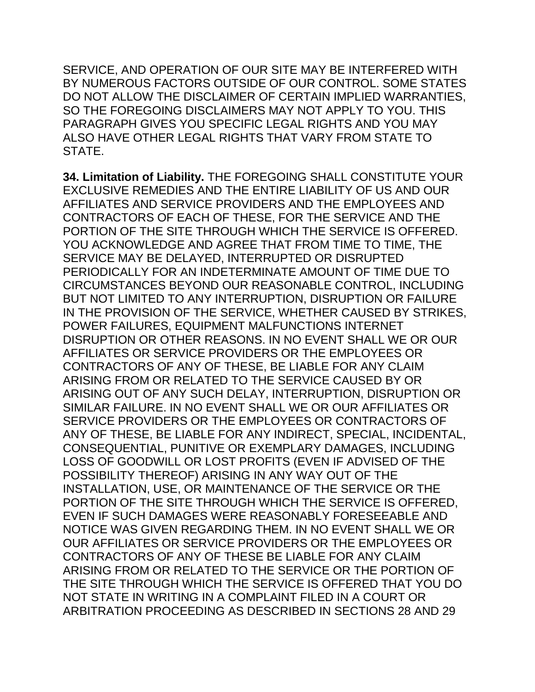SERVICE, AND OPERATION OF OUR SITE MAY BE INTERFERED WITH BY NUMEROUS FACTORS OUTSIDE OF OUR CONTROL. SOME STATES DO NOT ALLOW THE DISCLAIMER OF CERTAIN IMPLIED WARRANTIES, SO THE FOREGOING DISCLAIMERS MAY NOT APPLY TO YOU. THIS PARAGRAPH GIVES YOU SPECIFIC LEGAL RIGHTS AND YOU MAY ALSO HAVE OTHER LEGAL RIGHTS THAT VARY FROM STATE TO STATE.

**34. Limitation of Liability.** THE FOREGOING SHALL CONSTITUTE YOUR EXCLUSIVE REMEDIES AND THE ENTIRE LIABILITY OF US AND OUR AFFILIATES AND SERVICE PROVIDERS AND THE EMPLOYEES AND CONTRACTORS OF EACH OF THESE, FOR THE SERVICE AND THE PORTION OF THE SITE THROUGH WHICH THE SERVICE IS OFFERED. YOU ACKNOWLEDGE AND AGREE THAT FROM TIME TO TIME, THE SERVICE MAY BE DELAYED, INTERRUPTED OR DISRUPTED PERIODICALLY FOR AN INDETERMINATE AMOUNT OF TIME DUE TO CIRCUMSTANCES BEYOND OUR REASONABLE CONTROL, INCLUDING BUT NOT LIMITED TO ANY INTERRUPTION, DISRUPTION OR FAILURE IN THE PROVISION OF THE SERVICE, WHETHER CAUSED BY STRIKES, POWER FAILURES, EQUIPMENT MALFUNCTIONS INTERNET DISRUPTION OR OTHER REASONS. IN NO EVENT SHALL WE OR OUR AFFILIATES OR SERVICE PROVIDERS OR THE EMPLOYEES OR CONTRACTORS OF ANY OF THESE, BE LIABLE FOR ANY CLAIM ARISING FROM OR RELATED TO THE SERVICE CAUSED BY OR ARISING OUT OF ANY SUCH DELAY, INTERRUPTION, DISRUPTION OR SIMILAR FAILURE. IN NO EVENT SHALL WE OR OUR AFFILIATES OR SERVICE PROVIDERS OR THE EMPLOYEES OR CONTRACTORS OF ANY OF THESE, BE LIABLE FOR ANY INDIRECT, SPECIAL, INCIDENTAL, CONSEQUENTIAL, PUNITIVE OR EXEMPLARY DAMAGES, INCLUDING LOSS OF GOODWILL OR LOST PROFITS (EVEN IF ADVISED OF THE POSSIBILITY THEREOF) ARISING IN ANY WAY OUT OF THE INSTALLATION, USE, OR MAINTENANCE OF THE SERVICE OR THE PORTION OF THE SITE THROUGH WHICH THE SERVICE IS OFFERED, EVEN IF SUCH DAMAGES WERE REASONABLY FORESEEABLE AND NOTICE WAS GIVEN REGARDING THEM. IN NO EVENT SHALL WE OR OUR AFFILIATES OR SERVICE PROVIDERS OR THE EMPLOYEES OR CONTRACTORS OF ANY OF THESE BE LIABLE FOR ANY CLAIM ARISING FROM OR RELATED TO THE SERVICE OR THE PORTION OF THE SITE THROUGH WHICH THE SERVICE IS OFFERED THAT YOU DO NOT STATE IN WRITING IN A COMPLAINT FILED IN A COURT OR ARBITRATION PROCEEDING AS DESCRIBED IN SECTIONS 28 AND 29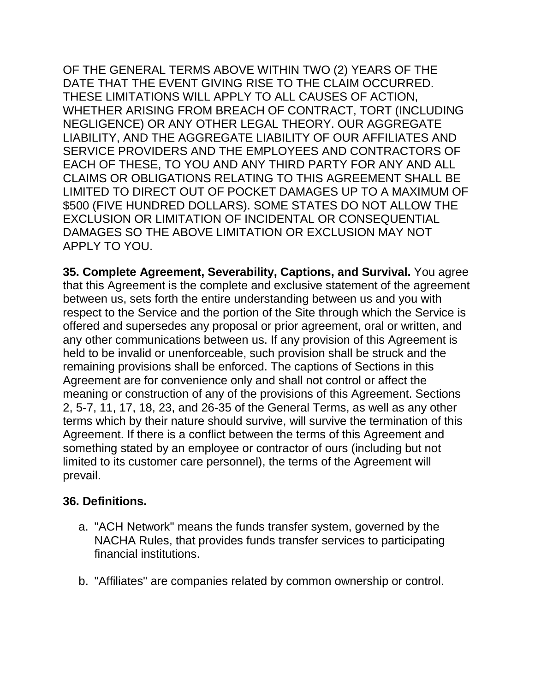OF THE GENERAL TERMS ABOVE WITHIN TWO (2) YEARS OF THE DATE THAT THE EVENT GIVING RISE TO THE CLAIM OCCURRED. THESE LIMITATIONS WILL APPLY TO ALL CAUSES OF ACTION, WHETHER ARISING FROM BREACH OF CONTRACT, TORT (INCLUDING NEGLIGENCE) OR ANY OTHER LEGAL THEORY. OUR AGGREGATE LIABILITY, AND THE AGGREGATE LIABILITY OF OUR AFFILIATES AND SERVICE PROVIDERS AND THE EMPLOYEES AND CONTRACTORS OF EACH OF THESE, TO YOU AND ANY THIRD PARTY FOR ANY AND ALL CLAIMS OR OBLIGATIONS RELATING TO THIS AGREEMENT SHALL BE LIMITED TO DIRECT OUT OF POCKET DAMAGES UP TO A MAXIMUM OF \$500 (FIVE HUNDRED DOLLARS). SOME STATES DO NOT ALLOW THE EXCLUSION OR LIMITATION OF INCIDENTAL OR CONSEQUENTIAL DAMAGES SO THE ABOVE LIMITATION OR EXCLUSION MAY NOT APPLY TO YOU.

**35. Complete Agreement, Severability, Captions, and Survival.** You agree that this Agreement is the complete and exclusive statement of the agreement between us, sets forth the entire understanding between us and you with respect to the Service and the portion of the Site through which the Service is offered and supersedes any proposal or prior agreement, oral or written, and any other communications between us. If any provision of this Agreement is held to be invalid or unenforceable, such provision shall be struck and the remaining provisions shall be enforced. The captions of Sections in this Agreement are for convenience only and shall not control or affect the meaning or construction of any of the provisions of this Agreement. Sections 2, 5-7, 11, 17, 18, 23, and 26-35 of the General Terms, as well as any other terms which by their nature should survive, will survive the termination of this Agreement. If there is a conflict between the terms of this Agreement and something stated by an employee or contractor of ours (including but not limited to its customer care personnel), the terms of the Agreement will prevail.

### **36. Definitions.**

- a. "ACH Network" means the funds transfer system, governed by the NACHA Rules, that provides funds transfer services to participating financial institutions.
- b. "Affiliates" are companies related by common ownership or control.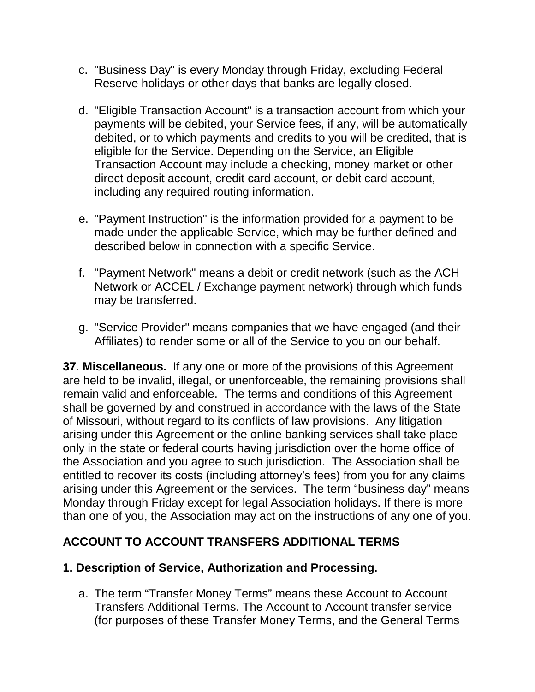- c. "Business Day" is every Monday through Friday, excluding Federal Reserve holidays or other days that banks are legally closed.
- d. "Eligible Transaction Account" is a transaction account from which your payments will be debited, your Service fees, if any, will be automatically debited, or to which payments and credits to you will be credited, that is eligible for the Service. Depending on the Service, an Eligible Transaction Account may include a checking, money market or other direct deposit account, credit card account, or debit card account, including any required routing information.
- e. "Payment Instruction" is the information provided for a payment to be made under the applicable Service, which may be further defined and described below in connection with a specific Service.
- f. "Payment Network" means a debit or credit network (such as the ACH Network or ACCEL / Exchange payment network) through which funds may be transferred.
- g. "Service Provider" means companies that we have engaged (and their Affiliates) to render some or all of the Service to you on our behalf.

**37**. **Miscellaneous.** If any one or more of the provisions of this Agreement are held to be invalid, illegal, or unenforceable, the remaining provisions shall remain valid and enforceable. The terms and conditions of this Agreement shall be governed by and construed in accordance with the laws of the State of Missouri, without regard to its conflicts of law provisions. Any litigation arising under this Agreement or the online banking services shall take place only in the state or federal courts having jurisdiction over the home office of the Association and you agree to such jurisdiction. The Association shall be entitled to recover its costs (including attorney's fees) from you for any claims arising under this Agreement or the services. The term "business day" means Monday through Friday except for legal Association holidays. If there is more than one of you, the Association may act on the instructions of any one of you.

# **ACCOUNT TO ACCOUNT TRANSFERS ADDITIONAL TERMS**

### **1. Description of Service, Authorization and Processing.**

a. The term "Transfer Money Terms" means these Account to Account Transfers Additional Terms. The Account to Account transfer service (for purposes of these Transfer Money Terms, and the General Terms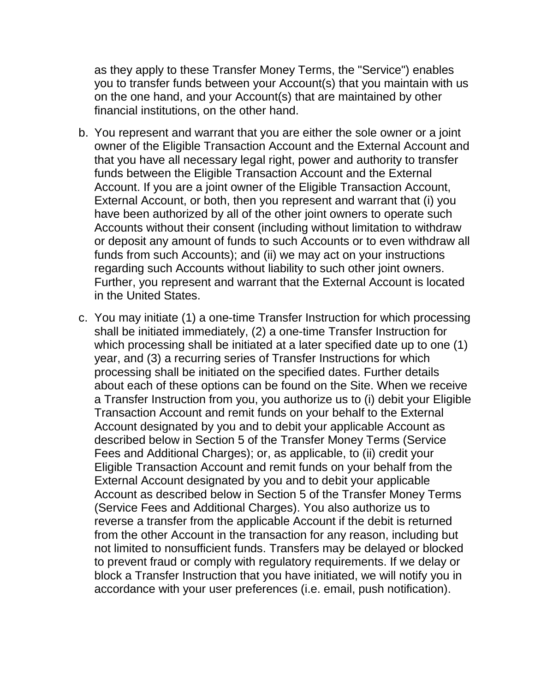as they apply to these Transfer Money Terms, the "Service") enables you to transfer funds between your Account(s) that you maintain with us on the one hand, and your Account(s) that are maintained by other financial institutions, on the other hand.

- b. You represent and warrant that you are either the sole owner or a joint owner of the Eligible Transaction Account and the External Account and that you have all necessary legal right, power and authority to transfer funds between the Eligible Transaction Account and the External Account. If you are a joint owner of the Eligible Transaction Account, External Account, or both, then you represent and warrant that (i) you have been authorized by all of the other joint owners to operate such Accounts without their consent (including without limitation to withdraw or deposit any amount of funds to such Accounts or to even withdraw all funds from such Accounts); and (ii) we may act on your instructions regarding such Accounts without liability to such other joint owners. Further, you represent and warrant that the External Account is located in the United States.
- c. You may initiate (1) a one-time Transfer Instruction for which processing shall be initiated immediately, (2) a one-time Transfer Instruction for which processing shall be initiated at a later specified date up to one (1) year, and (3) a recurring series of Transfer Instructions for which processing shall be initiated on the specified dates. Further details about each of these options can be found on the Site. When we receive a Transfer Instruction from you, you authorize us to (i) debit your Eligible Transaction Account and remit funds on your behalf to the External Account designated by you and to debit your applicable Account as described below in Section 5 of the Transfer Money Terms (Service Fees and Additional Charges); or, as applicable, to (ii) credit your Eligible Transaction Account and remit funds on your behalf from the External Account designated by you and to debit your applicable Account as described below in Section 5 of the Transfer Money Terms (Service Fees and Additional Charges). You also authorize us to reverse a transfer from the applicable Account if the debit is returned from the other Account in the transaction for any reason, including but not limited to nonsufficient funds. Transfers may be delayed or blocked to prevent fraud or comply with regulatory requirements. If we delay or block a Transfer Instruction that you have initiated, we will notify you in accordance with your user preferences (i.e. email, push notification).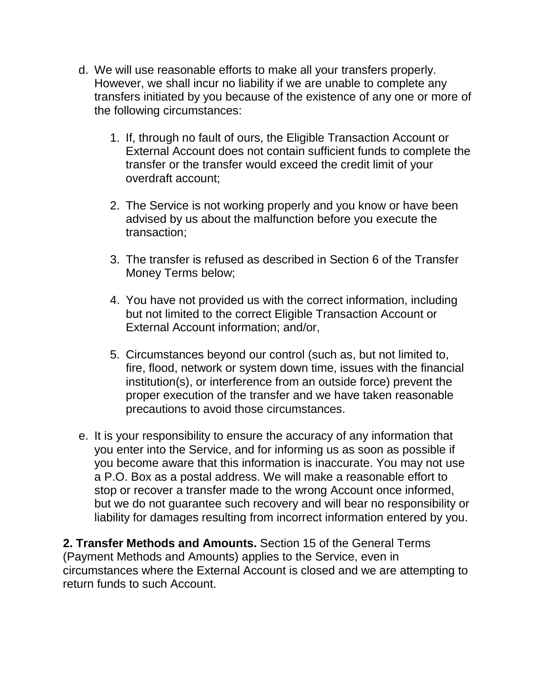- d. We will use reasonable efforts to make all your transfers properly. However, we shall incur no liability if we are unable to complete any transfers initiated by you because of the existence of any one or more of the following circumstances:
	- 1. If, through no fault of ours, the Eligible Transaction Account or External Account does not contain sufficient funds to complete the transfer or the transfer would exceed the credit limit of your overdraft account;
	- 2. The Service is not working properly and you know or have been advised by us about the malfunction before you execute the transaction;
	- 3. The transfer is refused as described in Section 6 of the Transfer Money Terms below;
	- 4. You have not provided us with the correct information, including but not limited to the correct Eligible Transaction Account or External Account information; and/or,
	- 5. Circumstances beyond our control (such as, but not limited to, fire, flood, network or system down time, issues with the financial institution(s), or interference from an outside force) prevent the proper execution of the transfer and we have taken reasonable precautions to avoid those circumstances.
- e. It is your responsibility to ensure the accuracy of any information that you enter into the Service, and for informing us as soon as possible if you become aware that this information is inaccurate. You may not use a P.O. Box as a postal address. We will make a reasonable effort to stop or recover a transfer made to the wrong Account once informed, but we do not guarantee such recovery and will bear no responsibility or liability for damages resulting from incorrect information entered by you.

**2. Transfer Methods and Amounts.** Section 15 of the General Terms (Payment Methods and Amounts) applies to the Service, even in circumstances where the External Account is closed and we are attempting to return funds to such Account.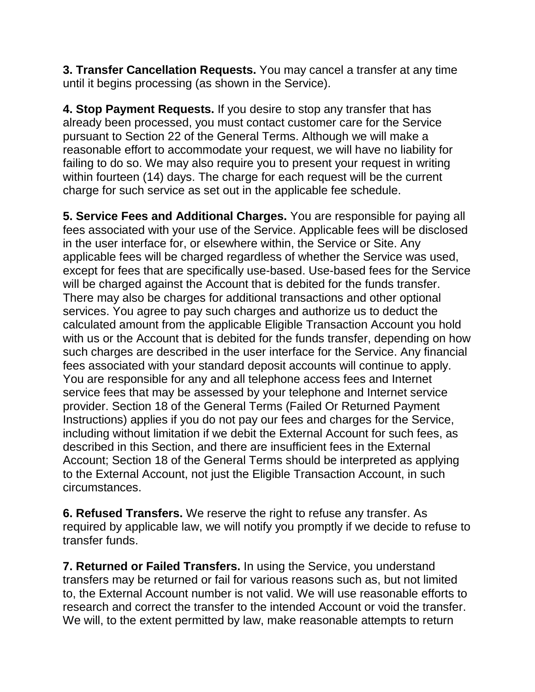**3. Transfer Cancellation Requests.** You may cancel a transfer at any time until it begins processing (as shown in the Service).

**4. Stop Payment Requests.** If you desire to stop any transfer that has already been processed, you must contact customer care for the Service pursuant to Section 22 of the General Terms. Although we will make a reasonable effort to accommodate your request, we will have no liability for failing to do so. We may also require you to present your request in writing within fourteen (14) days. The charge for each request will be the current charge for such service as set out in the applicable fee schedule.

**5. Service Fees and Additional Charges.** You are responsible for paying all fees associated with your use of the Service. Applicable fees will be disclosed in the user interface for, or elsewhere within, the Service or Site. Any applicable fees will be charged regardless of whether the Service was used, except for fees that are specifically use-based. Use-based fees for the Service will be charged against the Account that is debited for the funds transfer. There may also be charges for additional transactions and other optional services. You agree to pay such charges and authorize us to deduct the calculated amount from the applicable Eligible Transaction Account you hold with us or the Account that is debited for the funds transfer, depending on how such charges are described in the user interface for the Service. Any financial fees associated with your standard deposit accounts will continue to apply. You are responsible for any and all telephone access fees and Internet service fees that may be assessed by your telephone and Internet service provider. Section 18 of the General Terms (Failed Or Returned Payment Instructions) applies if you do not pay our fees and charges for the Service, including without limitation if we debit the External Account for such fees, as described in this Section, and there are insufficient fees in the External Account; Section 18 of the General Terms should be interpreted as applying to the External Account, not just the Eligible Transaction Account, in such circumstances.

**6. Refused Transfers.** We reserve the right to refuse any transfer. As required by applicable law, we will notify you promptly if we decide to refuse to transfer funds.

**7. Returned or Failed Transfers.** In using the Service, you understand transfers may be returned or fail for various reasons such as, but not limited to, the External Account number is not valid. We will use reasonable efforts to research and correct the transfer to the intended Account or void the transfer. We will, to the extent permitted by law, make reasonable attempts to return